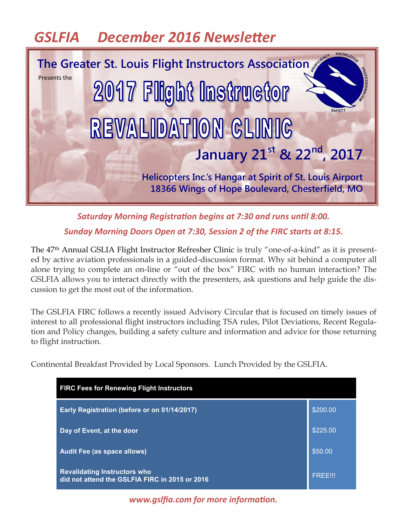# *GSLFIA December 2016 Newsletter*



*Saturday Morning Registration begins at 7:30 and runs until 8:00. Sunday Morning Doors Open at 7:30, Session 2 of the FIRC starts at 8:15.* 

The 47th Annual GSLIA Flight Instructor Refresher Clinic is truly "one-of-a-kind" as it is presented by active aviation professionals in a guided-discussion format. Why sit behind a computer all alone trying to complete an on-line or "out of the box" FIRC with no human interaction? The GSLFIA allows you to interact directly with the presenters, ask questions and help guide the discussion to get the most out of the information.

The GSLFIA FIRC follows a recently issued Advisory Circular that is focused on timely issues of interest to all professional flight instructors including TSA rules, Pilot Deviations, Recent Regulation and Policy changes, building a safety culture and information and advice for those returning to flight instruction.

Continental Breakfast Provided by Local Sponsors. Lunch Provided by the GSLFIA.

| <b>FIRC Fees for Renewing Flight Instructors</b>                                      |                |  |
|---------------------------------------------------------------------------------------|----------------|--|
| Early Registration (before or on 01/14/2017)                                          | \$200.00       |  |
| Day of Event, at the door                                                             | \$225.00       |  |
| <b>Audit Fee (as space allows)</b>                                                    | \$50.00        |  |
| <b>Revalidating Instructors who</b><br>did not attend the GSLFIA FIRC in 2015 or 2016 | <b>FREE!!!</b> |  |

*www.gslfia.com for more information.*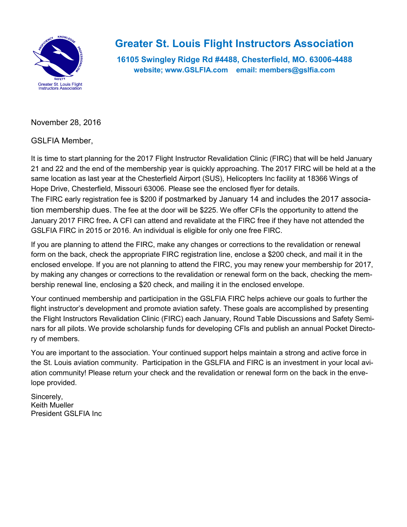

### **Greater St. Louis Flight Instructors Association**

**16105 Swingley Ridge Rd #4488, Chesterfield, MO. 63006-4488 website; www.GSLFIA.com email: members@gslfia.com**

November 28, 2016

GSLFIA Member,

It is time to start planning for the 2017 Flight Instructor Revalidation Clinic (FIRC) that will be held January 21 and 22 and the end of the membership year is quickly approaching. The 2017 FIRC will be held at a the same location as last year at the Chesterfield Airport (SUS), Helicopters Inc facility at 18366 Wings of Hope Drive, Chesterfield, Missouri 63006. Please see the enclosed flyer for details. The FIRC early registration fee is \$200 if postmarked by January 14 and includes the 2017 association membership dues. The fee at the door will be \$225. We offer CFIs the opportunity to attend the January 2017 FIRC free**.** A CFI can attend and revalidate at the FIRC free if they have not attended the GSLFIA FIRC in 2015 or 2016. An individual is eligible for only one free FIRC.

If you are planning to attend the FIRC, make any changes or corrections to the revalidation or renewal form on the back, check the appropriate FIRC registration line, enclose a \$200 check, and mail it in the enclosed envelope. If you are not planning to attend the FIRC, you may renew your membership for 2017, by making any changes or corrections to the revalidation or renewal form on the back, checking the membership renewal line, enclosing a \$20 check, and mailing it in the enclosed envelope.

Your continued membership and participation in the GSLFIA FIRC helps achieve our goals to further the flight instructor's development and promote aviation safety. These goals are accomplished by presenting the Flight Instructors Revalidation Clinic (FIRC) each January, Round Table Discussions and Safety Seminars for all pilots. We provide scholarship funds for developing CFIs and publish an annual Pocket Directory of members.

You are important to the association. Your continued support helps maintain a strong and active force in the St. Louis aviation community. Participation in the GSLFIA and FIRC is an investment in your local aviation community! Please return your check and the revalidation or renewal form on the back in the envelope provided.

Sincerely, Keith Mueller President GSLFIA Inc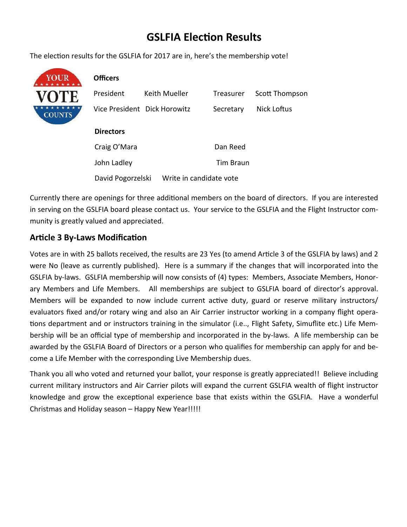### **GSLFIA Election Results**

The election results for the GSLFIA for 2017 are in, here's the membership vote!



David Pogorzelski Write in candidate vote

Currently there are openings for three additional members on the board of directors. If you are interested in serving on the GSLFIA board please contact us. Your service to the GSLFIA and the Flight Instructor community is greatly valued and appreciated.

#### **Article 3 By-Laws Modification**

Votes are in with 25 ballots received, the results are 23 Yes (to amend Article 3 of the GSLFIA by laws) and 2 were No (leave as currently published). Here is a summary if the changes that will incorporated into the GSLFIA by-laws. GSLFIA membership will now consists of (4) types: Members, Associate Members, Honorary Members and Life Members. All memberships are subject to GSLFIA board of director's approval. Members will be expanded to now include current active duty, guard or reserve military instructors/ evaluators fixed and/or rotary wing and also an Air Carrier instructor working in a company flight operations department and or instructors training in the simulator (i.e.., Flight Safety, Simuflite etc.) Life Membership will be an official type of membership and incorporated in the by-laws. A life membership can be awarded by the GSLFIA Board of Directors or a person who qualifies for membership can apply for and become a Life Member with the corresponding Live Membership dues.

Thank you all who voted and returned your ballot, your response is greatly appreciated!! Believe including current military instructors and Air Carrier pilots will expand the current GSLFIA wealth of flight instructor knowledge and grow the exceptional experience base that exists within the GSLFIA. Have a wonderful Christmas and Holiday season – Happy New Year!!!!!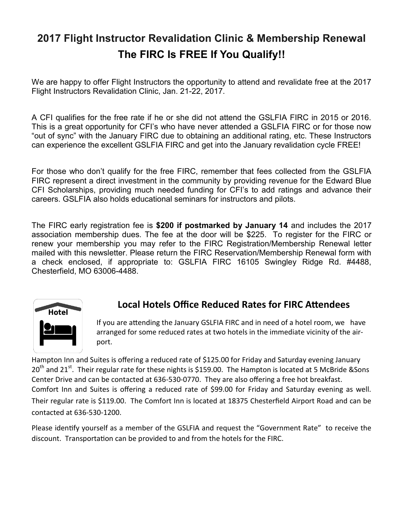## **2017 Flight Instructor Revalidation Clinic & Membership Renewal The FIRC Is FREE If You Qualify!!**

We are happy to offer Flight Instructors the opportunity to attend and revalidate free at the 2017 Flight Instructors Revalidation Clinic, Jan. 21-22, 2017.

A CFI qualifies for the free rate if he or she did not attend the GSLFIA FIRC in 2015 or 2016. This is a great opportunity for CFI's who have never attended a GSLFIA FIRC or for those now "out of sync" with the January FIRC due to obtaining an additional rating, etc. These Instructors can experience the excellent GSLFIA FIRC and get into the January revalidation cycle FREE!

For those who don't qualify for the free FIRC, remember that fees collected from the GSLFIA FIRC represent a direct investment in the community by providing revenue for the Edward Blue CFI Scholarships, providing much needed funding for CFI's to add ratings and advance their careers. GSLFIA also holds educational seminars for instructors and pilots.

The FIRC early registration fee is **\$200 if postmarked by January 14** and includes the 2017 association membership dues. The fee at the door will be \$225. To register for the FIRC or renew your membership you may refer to the FIRC Registration/Membership Renewal letter mailed with this newsletter. Please return the FIRC Reservation/Membership Renewal form with a check enclosed, if appropriate to: GSLFIA FIRC 16105 Swingley Ridge Rd. #4488, Chesterfield, MO 63006-4488.



### **Local Hotels Office Reduced Rates for FIRC Attendees**

If you are attending the January GSLFIA FIRC and in need of a hotel room, we have arranged for some reduced rates at two hotels in the immediate vicinity of the airport.

Hampton Inn and Suites is offering a reduced rate of \$125.00 for Friday and Saturday evening January  $20<sup>th</sup>$  and 21<sup>st</sup>. Their regular rate for these nights is \$159.00. The Hampton is located at 5 McBride &Sons Center Drive and can be contacted at 636-530-0770. They are also offering a free hot breakfast. Comfort Inn and Suites is offering a reduced rate of \$99.00 for Friday and Saturday evening as well. Their regular rate is \$119.00. The Comfort Inn is located at 18375 Chesterfield Airport Road and can be contacted at 636-530-1200.

Please identify yourself as a member of the GSLFIA and request the "Government Rate" to receive the discount. Transportation can be provided to and from the hotels for the FIRC.